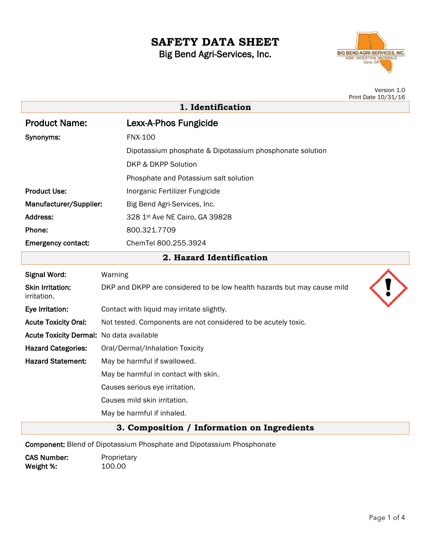# **SAFETY DATA SHEET** Big Bend Agri-Services, Inc.



|                                             | Version 1.0<br>Print Date 10/31/16                                           |
|---------------------------------------------|------------------------------------------------------------------------------|
| 1. Identification                           |                                                                              |
| <b>Product Name:</b>                        | Lexx-A-Phos Fungicide                                                        |
| Synonyms:                                   | <b>FNX-100</b>                                                               |
|                                             | Dipotassium phosphate & Dipotassium phosphonate solution                     |
|                                             | <b>DKP &amp; DKPP Solution</b>                                               |
|                                             | Phosphate and Potassium salt solution                                        |
| <b>Product Use:</b>                         | Inorganic Fertilizer Fungicide                                               |
| Manufacturer/Supplier:                      | Big Bend Agri-Services, Inc.                                                 |
| Address:                                    | 328 1st Ave NE Cairo, GA 39828                                               |
| Phone:                                      | 800.321.7709                                                                 |
| <b>Emergency contact:</b>                   | ChemTel 800.255.3924                                                         |
|                                             | 2. Hazard Identification                                                     |
| <b>Signal Word:</b>                         | Warning                                                                      |
| <b>Skin Irritation:</b><br>irritation.      | DKP and DKPP are considered to be low health hazards but may cause mild      |
| Eye Irritation:                             | Contact with liquid may irritate slightly.                                   |
| <b>Acute Toxicity Oral:</b>                 | Not tested. Components are not considered to be acutely toxic.               |
| Acute Toxicity Dermal: No data available    |                                                                              |
| <b>Hazard Categories:</b>                   | Oral/Dermal/Inhalation Toxicity                                              |
| <b>Hazard Statement:</b>                    | May be harmful if swallowed.                                                 |
|                                             | May be harmful in contact with skin.                                         |
|                                             | Causes serious eye irritation.                                               |
|                                             | Causes mild skin irritation.                                                 |
|                                             | May be harmful if inhaled.                                                   |
| 3. Composition / Information on Ingredients |                                                                              |
|                                             | <b>Component:</b> Blend of Dipotassium Phosphate and Dipotassium Phosphonate |

CAS Number: Proprietary<br>Weight %: 100.00 Weight %: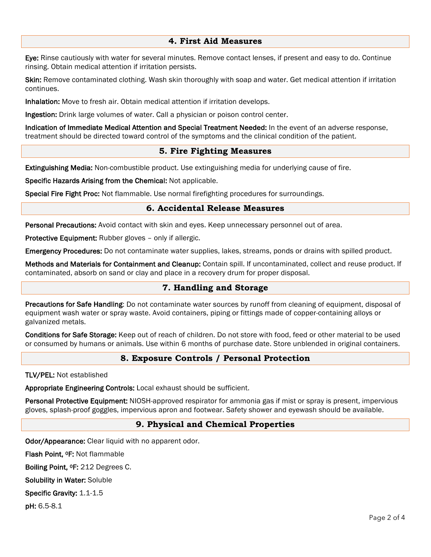## **4. First Aid Measures**

Eye: Rinse cautiously with water for several minutes. Remove contact lenses, if present and easy to do. Continue rinsing. Obtain medical attention if irritation persists.

Skin: Remove contaminated clothing. Wash skin thoroughly with soap and water. Get medical attention if irritation continues.

Inhalation: Move to fresh air. Obtain medical attention if irritation develops.

Ingestion: Drink large volumes of water. Call a physician or poison control center.

Indication of Immediate Medical Attention and Special Treatment Needed: In the event of an adverse response, treatment should be directed toward control of the symptoms and the clinical condition of the patient.

## **5. Fire Fighting Measures**

Extinguishing Media: Non-combustible product. Use extinguishing media for underlying cause of fire.

Specific Hazards Arising from the Chemical: Not applicable.

Special Fire Fight Proc: Not flammable. Use normal firefighting procedures for surroundings.

## **6. Accidental Release Measures**

Personal Precautions: Avoid contact with skin and eyes. Keep unnecessary personnel out of area.

Protective Equipment: Rubber gloves – only if allergic.

Emergency Procedures: Do not contaminate water supplies, lakes, streams, ponds or drains with spilled product.

Methods and Materials for Containment and Cleanup: Contain spill. If uncontaminated, collect and reuse product. If contaminated, absorb on sand or clay and place in a recovery drum for proper disposal.

## **7. Handling and Storage**

Precautions for Safe Handling: Do not contaminate water sources by runoff from cleaning of equipment, disposal of equipment wash water or spray waste. Avoid containers, piping or fittings made of copper-containing alloys or galvanized metals.

Conditions for Safe Storage: Keep out of reach of children. Do not store with food, feed or other material to be used or consumed by humans or animals. Use within 6 months of purchase date. Store unblended in original containers.

#### **8. Exposure Controls / Personal Protection**

TLV/PEL: Not established

Appropriate Engineering Controls: Local exhaust should be sufficient.

Personal Protective Equipment: NIOSH-approved respirator for ammonia gas if mist or spray is present, impervious gloves, splash-proof goggles, impervious apron and footwear. Safety shower and eyewash should be available.

#### **9. Physical and Chemical Properties**

Odor/Appearance: Clear liquid with no apparent odor.

Flash Point, 0F: Not flammable

Boiling Point, 0F: 212 Degrees C.

Solubility in Water: Soluble

Specific Gravity: 1.1-1.5

pH: 6.5-8.1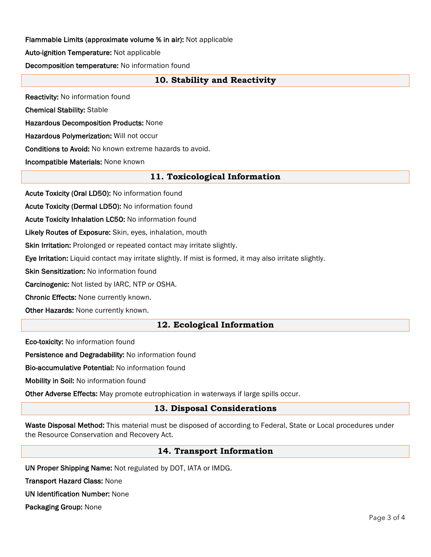## Flammable Limits (approximate volume % in air): Not applicable

Auto-ignition Temperature: Not applicable

Decomposition temperature: No information found

## **10. Stability and Reactivity**

Reactivity: No information found

Chemical Stability: Stable

Hazardous Decomposition Products: None

Hazardous Polymerization: Will not occur

Conditions to Avoid: No known extreme hazards to avoid.

Incompatible Materials: None known

## **11. Toxicological Information**

Acute Toxicity (Oral LD50): No information found

Acute Toxicity (Dermal LD50): No information found

Acute Toxicity Inhalation LC50: No information found

Likely Routes of Exposure: Skin, eyes, inhalation, mouth

Skin Irritation: Prolonged or repeated contact may irritate slightly.

Eye Irritation: Liquid contact may irritate slightly. If mist is formed, it may also irritate slightly.

**Skin Sensitization: No information found** 

Carcinogenic: Not listed by IARC, NTP or OSHA.

Chronic Effects: None currently known.

Other Hazards: None currently known.

## **12. Ecological Information**

Eco-toxicity: No information found

Persistence and Degradability: No information found

Bio-accumulative Potential: No information found

Mobility in Soil: No information found

Other Adverse Effects: May promote eutrophication in waterways if large spills occur.

## **13. Disposal Considerations**

Waste Disposal Method: This material must be disposed of according to Federal, State or Local procedures under the Resource Conservation and Recovery Act.

#### **14. Transport Information**

UN Proper Shipping Name: Not regulated by DOT, IATA or IMDG.

Transport Hazard Class: None

UN Identification Number: None

Packaging Group: None